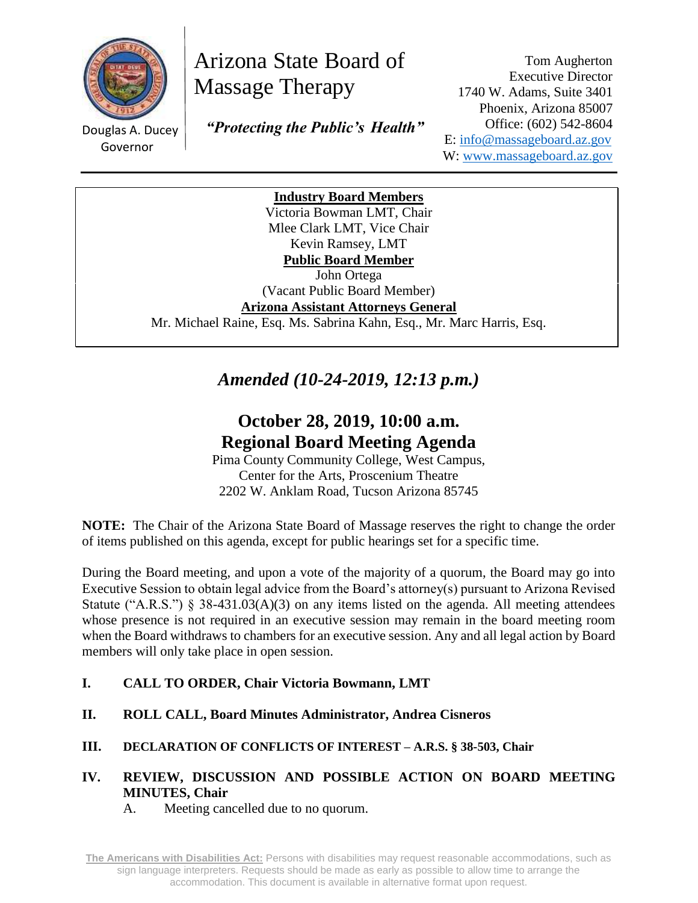

# Arizona State Board of Massage Therapy

Douglas A. Ducey Governor

 *"Protecting the Public's Health"*

Tom Augherton Executive Director 1740 W. Adams, Suite 3401 Phoenix, Arizona 85007 Office: (602) 542-8604 E: [info@massageboard.az.gov](mailto:info@massageboard.az.gov) W: [www.massageboard.az.gov](http://www.massageboard.az.gov/)

**Industry Board Members**

Victoria Bowman LMT, Chair Mlee Clark LMT, Vice Chair Kevin Ramsey, LMT **Public Board Member** 

John Ortega (Vacant Public Board Member)

**Arizona Assistant Attorneys General**

Mr. Michael Raine, Esq. Ms. Sabrina Kahn, Esq., Mr. Marc Harris, Esq.

*Amended (10-24-2019, 12:13 p.m.)*

# **October 28, 2019, 10:00 a.m. Regional Board Meeting Agenda**

Pima County Community College, West Campus, Center for the Arts, Proscenium Theatre 2202 W. Anklam Road, Tucson Arizona 85745

**NOTE:** The Chair of the Arizona State Board of Massage reserves the right to change the order of items published on this agenda, except for public hearings set for a specific time.

During the Board meeting, and upon a vote of the majority of a quorum, the Board may go into Executive Session to obtain legal advice from the Board's attorney(s) pursuant to Arizona Revised Statute ("A.R.S.")  $\S$  38-431.03(A)(3) on any items listed on the agenda. All meeting attendees whose presence is not required in an executive session may remain in the board meeting room when the Board withdraws to chambers for an executive session. Any and all legal action by Board members will only take place in open session.

- **I. CALL TO ORDER, Chair Victoria Bowmann, LMT**
- **II. ROLL CALL, Board Minutes Administrator, Andrea Cisneros**
- **III. DECLARATION OF CONFLICTS OF INTEREST – A.R.S. § 38-503, Chair**

# **IV. REVIEW, DISCUSSION AND POSSIBLE ACTION ON BOARD MEETING MINUTES, Chair**

A. Meeting cancelled due to no quorum.

**The Americans with Disabilities Act:** Persons with disabilities may request reasonable accommodations, such as sign language interpreters. Requests should be made as early as possible to allow time to arrange the accommodation. This document is available in alternative format upon request.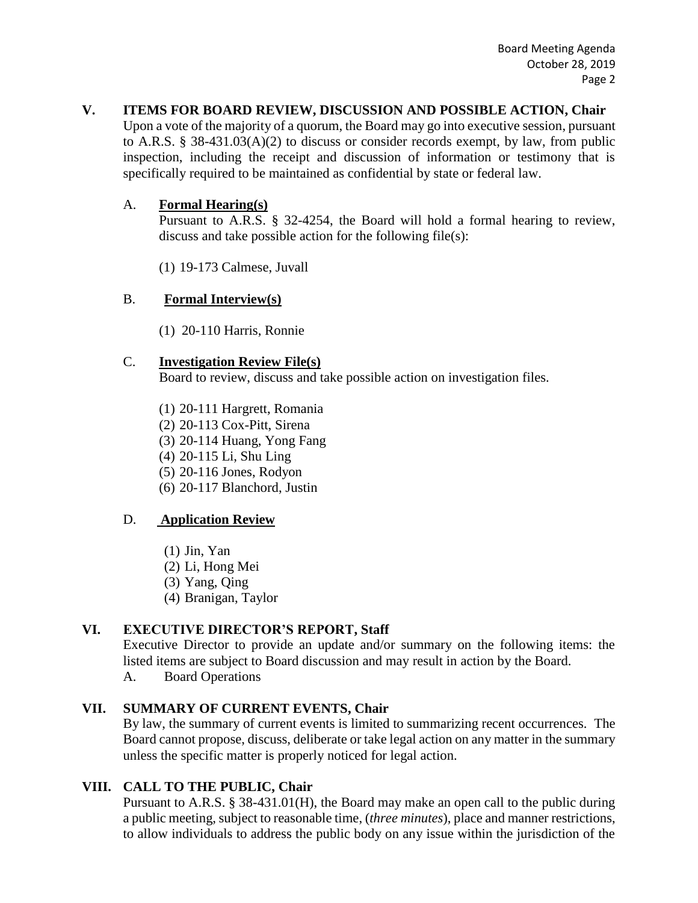# **V. ITEMS FOR BOARD REVIEW, DISCUSSION AND POSSIBLE ACTION, Chair**

Upon a vote of the majority of a quorum, the Board may go into executive session, pursuant to A.R.S. § 38-431.03(A)(2) to discuss or consider records exempt, by law, from public inspection, including the receipt and discussion of information or testimony that is specifically required to be maintained as confidential by state or federal law.

# A. **Formal Hearing(s)**

Pursuant to A.R.S. § 32-4254, the Board will hold a formal hearing to review, discuss and take possible action for the following file(s):

(1) 19-173 Calmese, Juvall

# B. **Formal Interview(s)**

(1) 20-110 Harris, Ronnie

# C. **Investigation Review File(s)**

Board to review, discuss and take possible action on investigation files.

- (1) 20-111 Hargrett, Romania
- (2) 20-113 Cox-Pitt, Sirena
- (3) 20-114 Huang, Yong Fang
- (4) 20-115 Li, Shu Ling
- (5) 20-116 Jones, Rodyon
- (6) 20-117 Blanchord, Justin

#### D. **Application Review**

- (1) Jin, Yan
- (2) Li, Hong Mei
- (3) Yang, Qing
- (4) Branigan, Taylor

# **VI. EXECUTIVE DIRECTOR'S REPORT, Staff**

Executive Director to provide an update and/or summary on the following items: the listed items are subject to Board discussion and may result in action by the Board.

A. Board Operations

# **VII. SUMMARY OF CURRENT EVENTS, Chair**

By law, the summary of current events is limited to summarizing recent occurrences. The Board cannot propose, discuss, deliberate or take legal action on any matter in the summary unless the specific matter is properly noticed for legal action.

#### **VIII. CALL TO THE PUBLIC, Chair**

Pursuant to A.R.S. § 38-431.01(H), the Board may make an open call to the public during a public meeting, subject to reasonable time, (*three minutes*), place and manner restrictions, to allow individuals to address the public body on any issue within the jurisdiction of the